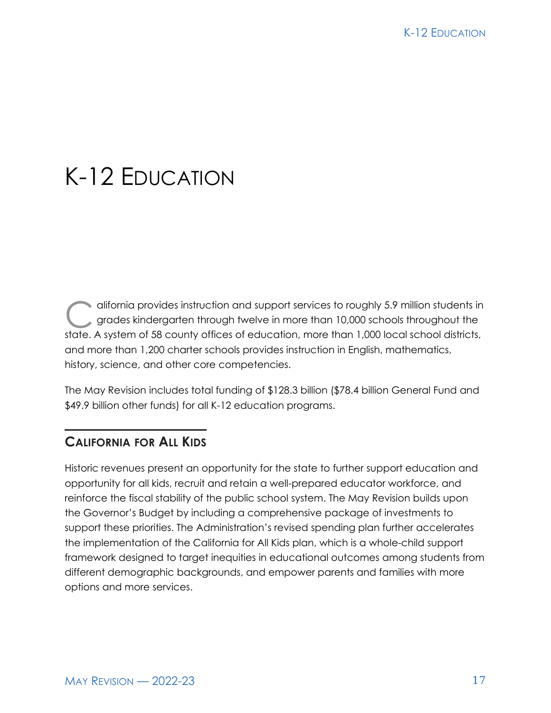# K-12 EDUCATION

difornia provides instruction and support services to roughly 5.9 million students in<br>grades kindergarten through twelve in more than 10,000 schools throughout the<br>state. A system of 58 county offices of advertise more tha grades kindergarten through twelve in more than 10,000 schools throughout the state. A system of 58 county offices of education, more than 1,000 local school districts, and more than 1,200 charter schools provides instruction in English, mathematics, history, science, and other core competencies.

The May Revision includes total funding of \$128.3 billion (\$78.4 billion General Fund and \$49.9 billion other funds) for all K-12 education programs.

# **CALIFORNIA FOR ALL KIDS**

Historic revenues present an opportunity for the state to further support education and opportunity for all kids, recruit and retain a well-prepared educator workforce, and reinforce the fiscal stability of the public school system. The May Revision builds upon the Governor's Budget by including a comprehensive package of investments to support these priorities. The Administration's revised spending plan further accelerates the implementation of the California for All Kids plan, which is a whole-child support framework designed to target inequities in educational outcomes among students from different demographic backgrounds, and empower parents and families with more options and more services.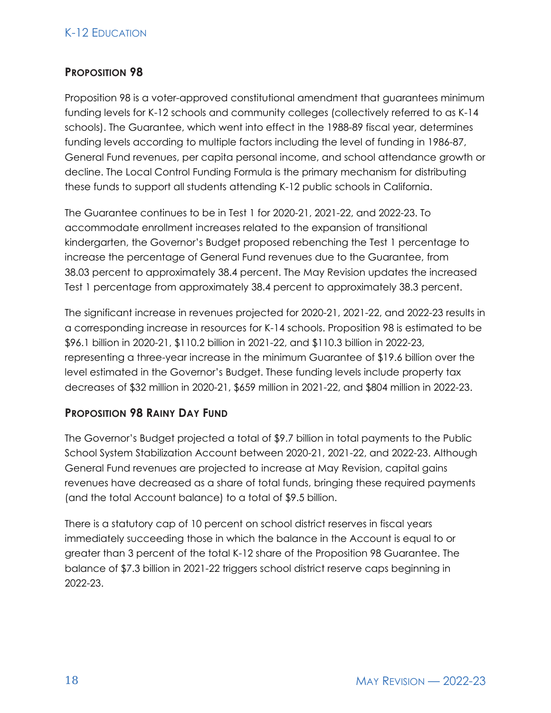## K-12 EDUCATION

## **PROPOSITION 98**

Proposition 98 is a voter-approved constitutional amendment that guarantees minimum funding levels for K-12 schools and community colleges (collectively referred to as K-14 schools). The Guarantee, which went into effect in the 1988-89 fiscal year, determines funding levels according to multiple factors including the level of funding in 1986-87, General Fund revenues, per capita personal income, and school attendance growth or decline. The Local Control Funding Formula is the primary mechanism for distributing these funds to support all students attending K-12 public schools in California.

The Guarantee continues to be in Test 1 for 2020-21, 2021-22, and 2022-23. To accommodate enrollment increases related to the expansion of transitional kindergarten, the Governor's Budget proposed rebenching the Test 1 percentage to increase the percentage of General Fund revenues due to the Guarantee, from 38.03 percent to approximately 38.4 percent. The May Revision updates the increased Test 1 percentage from approximately 38.4 percent to approximately 38.3 percent.

The significant increase in revenues projected for 2020-21, 2021-22, and 2022-23 results in a corresponding increase in resources for K-14 schools. Proposition 98 is estimated to be \$96.1 billion in 2020-21, \$110.2 billion in 2021-22, and \$110.3 billion in 2022-23, representing a three-year increase in the minimum Guarantee of \$19.6 billion over the level estimated in the Governor's Budget. These funding levels include property tax decreases of \$32 million in 2020-21, \$659 million in 2021-22, and \$804 million in 2022-23.

#### **PROPOSITION 98 RAINY DAY FUND**

The Governor's Budget projected a total of \$9.7 billion in total payments to the Public School System Stabilization Account between 2020-21, 2021-22, and 2022-23. Although General Fund revenues are projected to increase at May Revision, capital gains revenues have decreased as a share of total funds, bringing these required payments (and the total Account balance) to a total of \$9.5 billion.

There is a statutory cap of 10 percent on school district reserves in fiscal years immediately succeeding those in which the balance in the Account is equal to or greater than 3 percent of the total K-12 share of the Proposition 98 Guarantee. The balance of \$7.3 billion in 2021-22 triggers school district reserve caps beginning in 2022-23.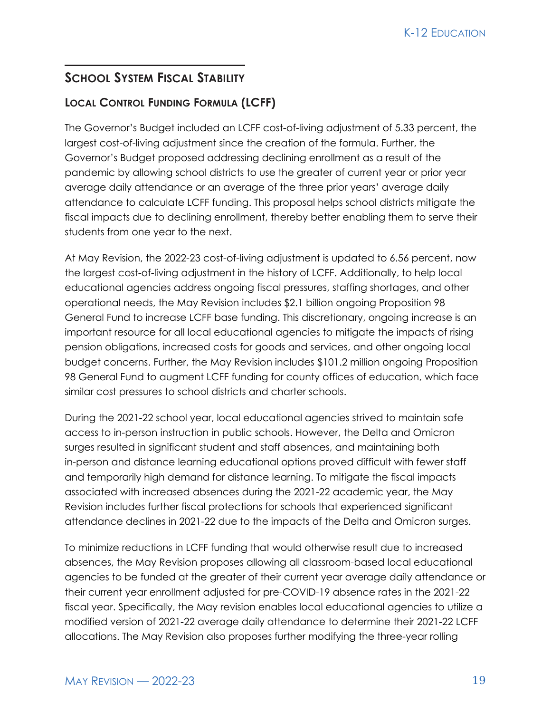# **SCHOOL SYSTEM FISCAL STABILITY**

# **LOCAL CONTROL FUNDING FORMULA (LCFF)**

The Governor's Budget included an LCFF cost-of-living adjustment of 5.33 percent, the largest cost-of-living adjustment since the creation of the formula. Further, the Governor's Budget proposed addressing declining enrollment as a result of the pandemic by allowing school districts to use the greater of current year or prior year average daily attendance or an average of the three prior years' average daily attendance to calculate LCFF funding. This proposal helps school districts mitigate the fiscal impacts due to declining enrollment, thereby better enabling them to serve their students from one year to the next.

At May Revision, the 2022-23 cost-of-living adjustment is updated to 6.56 percent, now the largest cost-of-living adjustment in the history of LCFF. Additionally, to help local educational agencies address ongoing fiscal pressures, staffing shortages, and other operational needs, the May Revision includes \$2.1 billion ongoing Proposition 98 General Fund to increase LCFF base funding. This discretionary, ongoing increase is an important resource for all local educational agencies to mitigate the impacts of rising pension obligations, increased costs for goods and services, and other ongoing local budget concerns. Further, the May Revision includes \$101.2 million ongoing Proposition 98 General Fund to augment LCFF funding for county offices of education, which face similar cost pressures to school districts and charter schools.

During the 2021-22 school year, local educational agencies strived to maintain safe access to in-person instruction in public schools. However, the Delta and Omicron surges resulted in significant student and staff absences, and maintaining both in-person and distance learning educational options proved difficult with fewer staff and temporarily high demand for distance learning. To mitigate the fiscal impacts associated with increased absences during the 2021-22 academic year, the May Revision includes further fiscal protections for schools that experienced significant attendance declines in 2021-22 due to the impacts of the Delta and Omicron surges.

To minimize reductions in LCFF funding that would otherwise result due to increased absences, the May Revision proposes allowing all classroom-based local educational agencies to be funded at the greater of their current year average daily attendance or their current year enrollment adjusted for pre-COVID-19 absence rates in the 2021-22 fiscal year. Specifically, the May revision enables local educational agencies to utilize a modified version of 2021-22 average daily attendance to determine their 2021-22 LCFF allocations. The May Revision also proposes further modifying the three-year rolling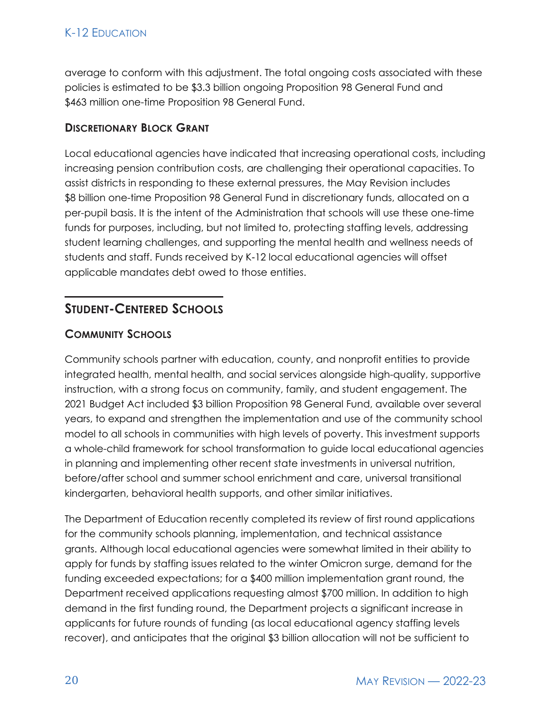average to conform with this adjustment. The total ongoing costs associated with these policies is estimated to be \$3.3 billion ongoing Proposition 98 General Fund and \$463 million one-time Proposition 98 General Fund.

## **DISCRETIONARY BLOCK GRANT**

Local educational agencies have indicated that increasing operational costs, including increasing pension contribution costs, are challenging their operational capacities. To assist districts in responding to these external pressures, the May Revision includes \$8 billion one-time Proposition 98 General Fund in discretionary funds, allocated on a per-pupil basis. It is the intent of the Administration that schools will use these one-time funds for purposes, including, but not limited to, protecting staffing levels, addressing student learning challenges, and supporting the mental health and wellness needs of students and staff. Funds received by K‑12 local educational agencies will offset applicable mandates debt owed to those entities.

# **STUDENT-CENTERED SCHOOLS**

## **COMMUNITY SCHOOLS**

Community schools partner with education, county, and nonprofit entities to provide integrated health, mental health, and social services alongside high-quality, supportive instruction, with a strong focus on community, family, and student engagement. The 2021 Budget Act included \$3 billion Proposition 98 General Fund, available over several years, to expand and strengthen the implementation and use of the community school model to all schools in communities with high levels of poverty. This investment supports a whole-child framework for school transformation to guide local educational agencies in planning and implementing other recent state investments in universal nutrition, before/after school and summer school enrichment and care, universal transitional kindergarten, behavioral health supports, and other similar initiatives.

The Department of Education recently completed its review of first round applications for the community schools planning, implementation, and technical assistance grants. Although local educational agencies were somewhat limited in their ability to apply for funds by staffing issues related to the winter Omicron surge, demand for the funding exceeded expectations; for a \$400 million implementation grant round, the Department received applications requesting almost \$700 million. In addition to high demand in the first funding round, the Department projects a significant increase in applicants for future rounds of funding (as local educational agency staffing levels recover), and anticipates that the original \$3 billion allocation will not be sufficient to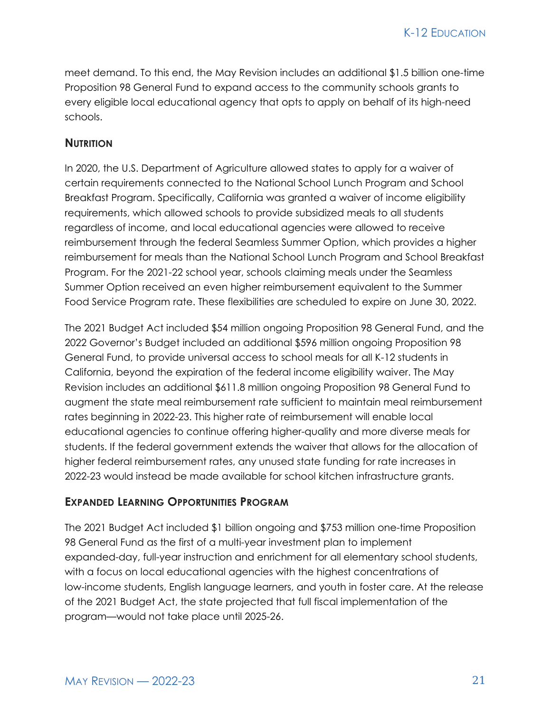meet demand. To this end, the May Revision includes an additional \$1.5 billion one-time Proposition 98 General Fund to expand access to the community schools grants to every eligible local educational agency that opts to apply on behalf of its high-need schools.

#### **NUTRITION**

In 2020, the U.S. Department of Agriculture allowed states to apply for a waiver of certain requirements connected to the National School Lunch Program and School Breakfast Program. Specifically, California was granted a waiver of income eligibility requirements, which allowed schools to provide subsidized meals to all students regardless of income, and local educational agencies were allowed to receive reimbursement through the federal Seamless Summer Option, which provides a higher reimbursement for meals than the National School Lunch Program and School Breakfast Program. For the 2021-22 school year, schools claiming meals under the Seamless Summer Option received an even higher reimbursement equivalent to the Summer Food Service Program rate. These flexibilities are scheduled to expire on June 30, 2022.

The 2021 Budget Act included \$54 million ongoing Proposition 98 General Fund, and the 2022 Governor's Budget included an additional \$596 million ongoing Proposition 98 General Fund, to provide universal access to school meals for all K-12 students in California, beyond the expiration of the federal income eligibility waiver. The May Revision includes an additional \$611.8 million ongoing Proposition 98 General Fund to augment the state meal reimbursement rate sufficient to maintain meal reimbursement rates beginning in 2022-23. This higher rate of reimbursement will enable local educational agencies to continue offering higher-quality and more diverse meals for students. If the federal government extends the waiver that allows for the allocation of higher federal reimbursement rates, any unused state funding for rate increases in 2022-23 would instead be made available for school kitchen infrastructure grants.

#### **EXPANDED LEARNING OPPORTUNITIES PROGRAM**

The 2021 Budget Act included \$1 billion ongoing and \$753 million one-time Proposition 98 General Fund as the first of a multi-year investment plan to implement expanded-day, full-year instruction and enrichment for all elementary school students, with a focus on local educational agencies with the highest concentrations of low-income students, English language learners, and youth in foster care. At the release of the 2021 Budget Act, the state projected that full fiscal implementation of the program—would not take place until 2025-26.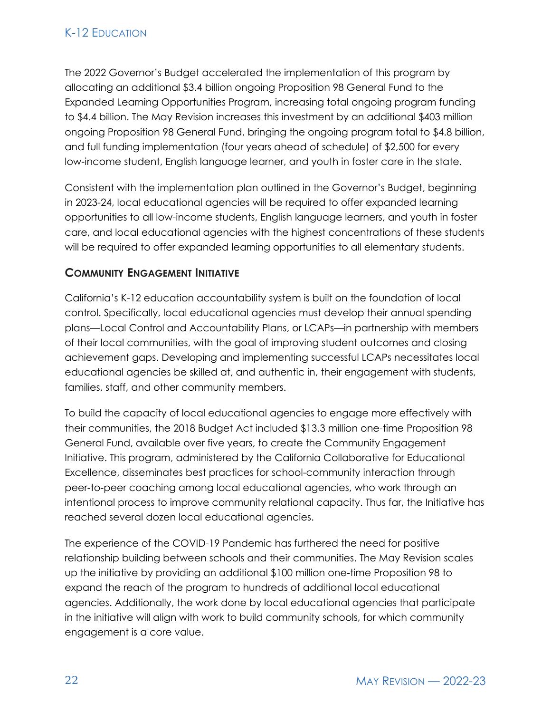The 2022 Governor's Budget accelerated the implementation of this program by allocating an additional \$3.4 billion ongoing Proposition 98 General Fund to the Expanded Learning Opportunities Program, increasing total ongoing program funding to \$4.4 billion. The May Revision increases this investment by an additional \$403 million ongoing Proposition 98 General Fund, bringing the ongoing program total to \$4.8 billion, and full funding implementation (four years ahead of schedule) of \$2,500 for every low-income student, English language learner, and youth in foster care in the state.

Consistent with the implementation plan outlined in the Governor's Budget, beginning in 2023-24, local educational agencies will be required to offer expanded learning opportunities to all low-income students, English language learners, and youth in foster care, and local educational agencies with the highest concentrations of these students will be required to offer expanded learning opportunities to all elementary students.

## **COMMUNITY ENGAGEMENT INITIATIVE**

California's K-12 education accountability system is built on the foundation of local control. Specifically, local educational agencies must develop their annual spending plans—Local Control and Accountability Plans, or LCAPs—in partnership with members of their local communities, with the goal of improving student outcomes and closing achievement gaps. Developing and implementing successful LCAPs necessitates local educational agencies be skilled at, and authentic in, their engagement with students, families, staff, and other community members.

To build the capacity of local educational agencies to engage more effectively with their communities, the 2018 Budget Act included \$13.3 million one-time Proposition 98 General Fund, available over five years, to create the Community Engagement Initiative. This program, administered by the California Collaborative for Educational Excellence, disseminates best practices for school-community interaction through peer-to-peer coaching among local educational agencies, who work through an intentional process to improve community relational capacity. Thus far, the Initiative has reached several dozen local educational agencies.

The experience of the COVID-19 Pandemic has furthered the need for positive relationship building between schools and their communities. The May Revision scales up the initiative by providing an additional \$100 million one-time Proposition 98 to expand the reach of the program to hundreds of additional local educational agencies. Additionally, the work done by local educational agencies that participate in the initiative will align with work to build community schools, for which community engagement is a core value.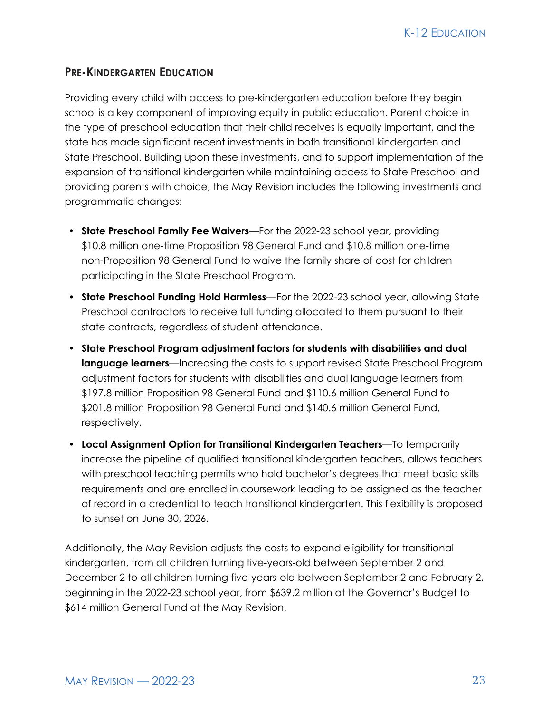#### **PRE-KINDERGARTEN EDUCATION**

Providing every child with access to pre-kindergarten education before they begin school is a key component of improving equity in public education. Parent choice in the type of preschool education that their child receives is equally important, and the state has made significant recent investments in both transitional kindergarten and State Preschool. Building upon these investments, and to support implementation of the expansion of transitional kindergarten while maintaining access to State Preschool and providing parents with choice, the May Revision includes the following investments and programmatic changes:

- **State Preschool Family Fee Waivers**—For the 2022-23 school year, providing \$10.8 million one-time Proposition 98 General Fund and \$10.8 million one-time non-Proposition 98 General Fund to waive the family share of cost for children participating in the State Preschool Program.
- **State Preschool Funding Hold Harmless**—For the 2022-23 school year, allowing State Preschool contractors to receive full funding allocated to them pursuant to their state contracts, regardless of student attendance.
- **State Preschool Program adjustment factors for students with disabilities and dual language learners**—Increasing the costs to support revised State Preschool Program adjustment factors for students with disabilities and dual language learners from \$197.8 million Proposition 98 General Fund and \$110.6 million General Fund to \$201.8 million Proposition 98 General Fund and \$140.6 million General Fund, respectively.
- **Local Assignment Option for Transitional Kindergarten Teachers**—To temporarily increase the pipeline of qualified transitional kindergarten teachers, allows teachers with preschool teaching permits who hold bachelor's degrees that meet basic skills requirements and are enrolled in coursework leading to be assigned as the teacher of record in a credential to teach transitional kindergarten. This flexibility is proposed to sunset on June 30, 2026.

Additionally, the May Revision adjusts the costs to expand eligibility for transitional kindergarten, from all children turning five-years-old between September 2 and December 2 to all children turning five-years-old between September 2 and February 2, beginning in the 2022-23 school year, from \$639.2 million at the Governor's Budget to \$614 million General Fund at the May Revision.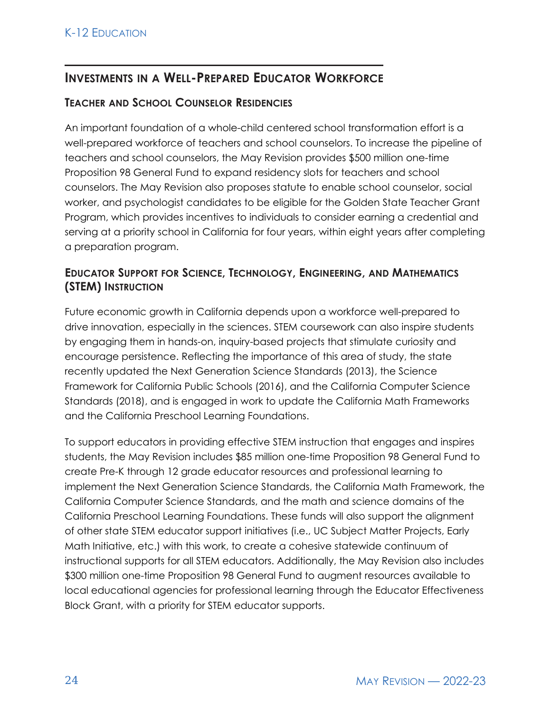# **INVESTMENTS IN A WELL-PREPARED EDUCATOR WORKFORCE**

### **TEACHER AND SCHOOL COUNSELOR RESIDENCIES**

An important foundation of a whole-child centered school transformation effort is a well-prepared workforce of teachers and school counselors. To increase the pipeline of teachers and school counselors, the May Revision provides \$500 million one-time Proposition 98 General Fund to expand residency slots for teachers and school counselors. The May Revision also proposes statute to enable school counselor, social worker, and psychologist candidates to be eligible for the Golden State Teacher Grant Program, which provides incentives to individuals to consider earning a credential and serving at a priority school in California for four years, within eight years after completing a preparation program.

## **EDUCATOR SUPPORT FOR SCIENCE, TECHNOLOGY, ENGINEERING, AND MATHEMATICS (STEM) INSTRUCTION**

Future economic growth in California depends upon a workforce well-prepared to drive innovation, especially in the sciences. STEM coursework can also inspire students by engaging them in hands-on, inquiry-based projects that stimulate curiosity and encourage persistence. Reflecting the importance of this area of study, the state recently updated the Next Generation Science Standards (2013), the Science Framework for California Public Schools (2016), and the California Computer Science Standards (2018), and is engaged in work to update the California Math Frameworks and the California Preschool Learning Foundations.

To support educators in providing effective STEM instruction that engages and inspires students, the May Revision includes \$85 million one-time Proposition 98 General Fund to create Pre-K through 12 grade educator resources and professional learning to implement the Next Generation Science Standards, the California Math Framework, the California Computer Science Standards, and the math and science domains of the California Preschool Learning Foundations. These funds will also support the alignment of other state STEM educator support initiatives (i.e., UC Subject Matter Projects, Early Math Initiative, etc.) with this work, to create a cohesive statewide continuum of instructional supports for all STEM educators. Additionally, the May Revision also includes \$300 million one-time Proposition 98 General Fund to augment resources available to local educational agencies for professional learning through the Educator Effectiveness Block Grant, with a priority for STEM educator supports.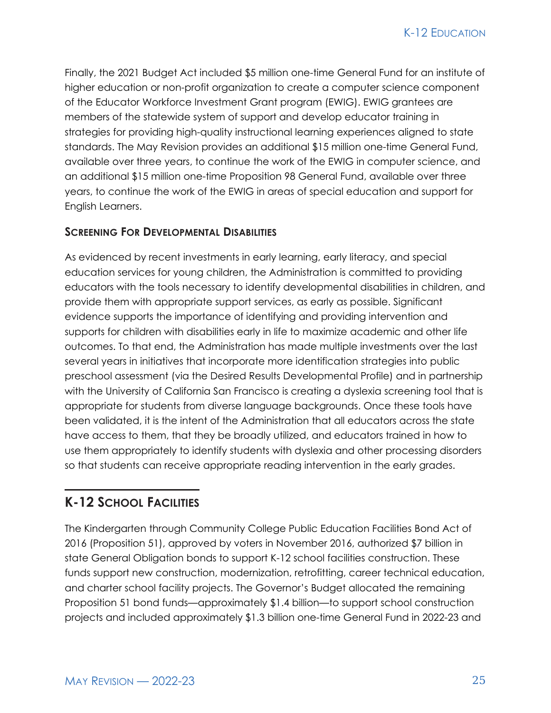Finally, the 2021 Budget Act included \$5 million one-time General Fund for an institute of higher education or non-profit organization to create a computer science component of the Educator Workforce Investment Grant program (EWIG). EWIG grantees are members of the statewide system of support and develop educator training in strategies for providing high-quality instructional learning experiences aligned to state standards. The May Revision provides an additional \$15 million one-time General Fund, available over three years, to continue the work of the EWIG in computer science, and an additional \$15 million one-time Proposition 98 General Fund, available over three years, to continue the work of the EWIG in areas of special education and support for English Learners.

#### **SCREENING FOR DEVELOPMENTAL DISABILITIES**

As evidenced by recent investments in early learning, early literacy, and special education services for young children, the Administration is committed to providing educators with the tools necessary to identify developmental disabilities in children, and provide them with appropriate support services, as early as possible. Significant evidence supports the importance of identifying and providing intervention and supports for children with disabilities early in life to maximize academic and other life outcomes. To that end, the Administration has made multiple investments over the last several years in initiatives that incorporate more identification strategies into public preschool assessment (via the Desired Results Developmental Profile) and in partnership with the University of California San Francisco is creating a dyslexia screening tool that is appropriate for students from diverse language backgrounds. Once these tools have been validated, it is the intent of the Administration that all educators across the state have access to them, that they be broadly utilized, and educators trained in how to use them appropriately to identify students with dyslexia and other processing disorders so that students can receive appropriate reading intervention in the early grades.

# **K-12 SCHOOL FACILITIES**

The Kindergarten through Community College Public Education Facilities Bond Act of 2016 (Proposition 51), approved by voters in November 2016, authorized \$7 billion in state General Obligation bonds to support K-12 school facilities construction. These funds support new construction, modernization, retrofitting, career technical education, and charter school facility projects. The Governor's Budget allocated the remaining Proposition 51 bond funds—approximately \$1.4 billion—to support school construction projects and included approximately \$1.3 billion one-time General Fund in 2022-23 and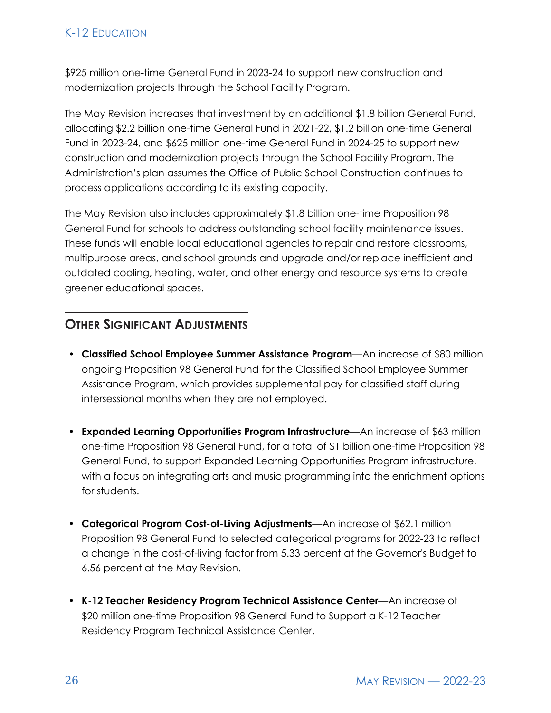## K-12 EDUCATION

\$925 million one-time General Fund in 2023-24 to support new construction and modernization projects through the School Facility Program.

The May Revision increases that investment by an additional \$1.8 billion General Fund, allocating \$2.2 billion one-time General Fund in 2021-22, \$1.2 billion one-time General Fund in 2023-24, and \$625 million one-time General Fund in 2024-25 to support new construction and modernization projects through the School Facility Program. The Administration's plan assumes the Office of Public School Construction continues to process applications according to its existing capacity.

The May Revision also includes approximately \$1.8 billion one-time Proposition 98 General Fund for schools to address outstanding school facility maintenance issues. These funds will enable local educational agencies to repair and restore classrooms, multipurpose areas, and school grounds and upgrade and/or replace inefficient and outdated cooling, heating, water, and other energy and resource systems to create greener educational spaces.

# **OTHER SIGNIFICANT ADJUSTMENTS**

- **Classified School Employee Summer Assistance Program**—An increase of \$80 million ongoing Proposition 98 General Fund for the Classified School Employee Summer Assistance Program, which provides supplemental pay for classified staff during intersessional months when they are not employed.
- **Expanded Learning Opportunities Program Infrastructure**—An increase of \$63 million one-time Proposition 98 General Fund, for a total of \$1 billion one-time Proposition 98 General Fund, to support Expanded Learning Opportunities Program infrastructure, with a focus on integrating arts and music programming into the enrichment options for students.
- **Categorical Program Cost-of-Living Adjustments**—An increase of \$62.1 million Proposition 98 General Fund to selected categorical programs for 2022-23 to reflect a change in the cost-of-living factor from 5.33 percent at the Governor's Budget to 6.56 percent at the May Revision.
- **K-12 Teacher Residency Program Technical Assistance Center**—An increase of \$20 million one-time Proposition 98 General Fund to Support a K-12 Teacher Residency Program Technical Assistance Center.